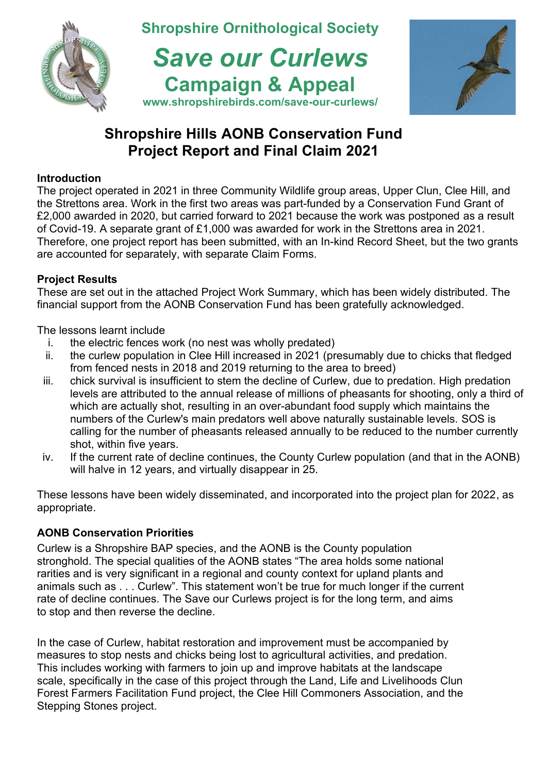

# **Shropshire Hills AONB Conservation Fund Project Report and Final Claim 2021**

## **Introduction**

The project operated in 2021 in three Community Wildlife group areas, Upper Clun, Clee Hill, and the Strettons area. Work in the first two areas was part-funded by a Conservation Fund Grant of £2,000 awarded in 2020, but carried forward to 2021 because the work was postponed as a result of Covid-19. A separate grant of £1,000 was awarded for work in the Strettons area in 2021. Therefore, one project report has been submitted, with an In-kind Record Sheet, but the two grants are accounted for separately, with separate Claim Forms.

## **Project Results**

These are set out in the attached Project Work Summary, which has been widely distributed. The financial support from the AONB Conservation Fund has been gratefully acknowledged.

The lessons learnt include

- i. the electric fences work (no nest was wholly predated)
- ii. the curlew population in Clee Hill increased in 2021 (presumably due to chicks that fledged from fenced nests in 2018 and 2019 returning to the area to breed)
- iii. chick survival is insufficient to stem the decline of Curlew, due to predation. High predation levels are attributed to the annual release of millions of pheasants for shooting, only a third of which are actually shot, resulting in an over-abundant food supply which maintains the numbers of the Curlew's main predators well above naturally sustainable levels. SOS is calling for the number of pheasants released annually to be reduced to the number currently shot, within five years.
- iv. If the current rate of decline continues, the County Curlew population (and that in the AONB) will halve in 12 years, and virtually disappear in 25.

These lessons have been widely disseminated, and incorporated into the project plan for 2022, as appropriate.

# **AONB Conservation Priorities**

Curlew is a Shropshire BAP species, and the AONB is the County population stronghold. The special qualities of the AONB states "The area holds some national rarities and is very significant in a regional and county context for upland plants and animals such as . . . Curlew". This statement won't be true for much longer if the current rate of decline continues. The Save our Curlews project is for the long term, and aims to stop and then reverse the decline.

In the case of Curlew, habitat restoration and improvement must be accompanied by measures to stop nests and chicks being lost to agricultural activities, and predation. This includes working with farmers to join up and improve habitats at the landscape scale, specifically in the case of this project through the Land, Life and Livelihoods Clun Forest Farmers Facilitation Fund project, the Clee Hill Commoners Association, and the Stepping Stones project.